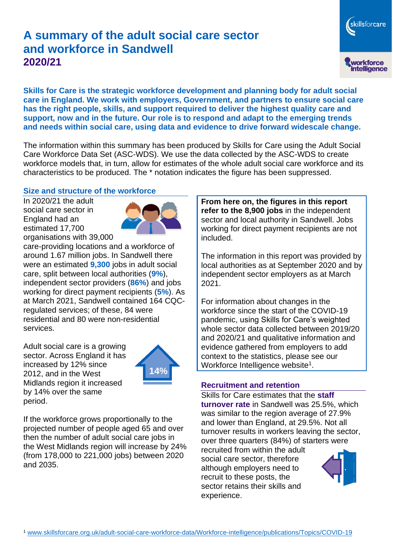# **A summary of the adult social care sector and workforce in Sandwell 2020/21**

skillsforcare workforce<br>intelligence

**Skills for Care is the strategic workforce development and planning body for adult social care in England. We work with employers, Government, and partners to ensure social care has the right people, skills, and support required to deliver the highest quality care and support, now and in the future. Our role is to respond and adapt to the emerging trends and needs within social care, using data and evidence to drive forward widescale change.**

The information within this summary has been produced by Skills for Care using the Adult Social Care Workforce Data Set (ASC-WDS). We use the data collected by the ASC-WDS to create workforce models that, in turn, allow for estimates of the whole adult social care workforce and its characteristics to be produced. The \* notation indicates the figure has been suppressed.

#### **Size and structure of the workforce**

In 2020/21 the adult social care sector in England had an estimated 17,700 organisations with 39,000



care-providing locations and a workforce of around 1.67 million jobs. In Sandwell there were an estimated **9,300** jobs in adult social care, split between local authorities (**9%**), independent sector providers (**86%**) and jobs working for direct payment recipients (**5%**). As at March 2021, Sandwell contained 164 CQCregulated services; of these, 84 were residential and 80 were non-residential services.

Adult social care is a growing sector. Across England it has increased by 12% since 2012, and in the West Midlands region it increased by 14% over the same period.



If the workforce grows proportionally to the projected number of people aged 65 and over then the number of adult social care jobs in the West Midlands region will increase by 24% (from 178,000 to 221,000 jobs) between 2020 and 2035.

**From here on, the figures in this report refer to the 8,900 jobs** in the independent sector and local authority in Sandwell. Jobs working for direct payment recipients are not included.

The information in this report was provided by local authorities as at September 2020 and by independent sector employers as at March 2021.

For information about changes in the workforce since the start of the COVID-19 pandemic, using Skills for Care's weighted whole sector data collected between 2019/20 and 2020/21 and qualitative information and evidence gathered from employers to add context to the statistics, please see our Workforce Intelligence website<sup>1</sup>.

#### **Recruitment and retention**

Skills for Care estimates that the **staff turnover rate** in Sandwell was 25.5%, which was similar to the region average of 27.9% and lower than England, at 29.5%. Not all turnover results in workers leaving the sector, over three quarters (84%) of starters were

recruited from within the adult social care sector, therefore although employers need to recruit to these posts, the sector retains their skills and experience.

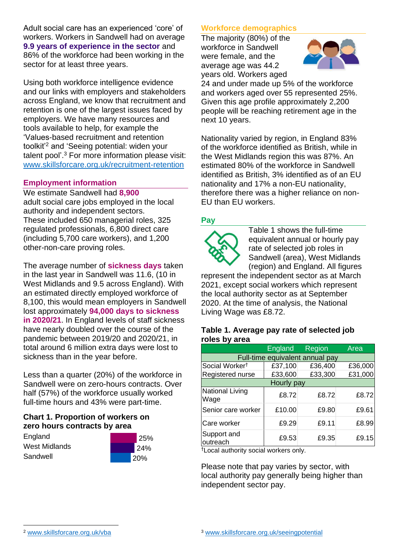Adult social care has an experienced 'core' of workers. Workers in Sandwell had on average **9.9 years of experience in the sector** and 86% of the workforce had been working in the sector for at least three years.

Using both workforce intelligence evidence and our links with employers and stakeholders across England, we know that recruitment and retention is one of the largest issues faced by employers. We have many resources and tools available to help, for example the 'Values-based recruitment and retention toolkit'<sup>2</sup> and 'Seeing potential: widen your talent pool'. <sup>3</sup> For more information please visit: [www.skillsforcare.org.uk/recruitment-retention](http://www.skillsforcare.org.uk/recruitment-retention)

### **Employment information**

We estimate Sandwell had **8,900** adult social care jobs employed in the local authority and independent sectors. These included 650 managerial roles, 325 regulated professionals, 6,800 direct care (including 5,700 care workers), and 1,200 other-non-care proving roles.

The average number of **sickness days** taken in the last year in Sandwell was 11.6, (10 in West Midlands and 9.5 across England). With an estimated directly employed workforce of 8,100, this would mean employers in Sandwell lost approximately **94,000 days to sickness in 2020/21**. In England levels of staff sickness have nearly doubled over the course of the pandemic between 2019/20 and 2020/21, in total around 6 million extra days were lost to sickness than in the year before.

Less than a quarter (20%) of the workforce in Sandwell were on zero-hours contracts. Over half (57%) of the workforce usually worked full-time hours and 43% were part-time.

### **Chart 1. Proportion of workers on zero hours contracts by area**

**England** West Midlands Sandwell



## **Workforce demographics**

The majority (80%) of the workforce in Sandwell were female, and the average age was 44.2 years old. Workers aged



24 and under made up 5% of the workforce and workers aged over 55 represented 25%. Given this age profile approximately 2,200 people will be reaching retirement age in the next 10 years.

Nationality varied by region, in England 83% of the workforce identified as British, while in the West Midlands region this was 87%. An estimated 80% of the workforce in Sandwell identified as British, 3% identified as of an EU nationality and 17% a non-EU nationality, therefore there was a higher reliance on non-EU than EU workers.

## **Pay**



Table 1 shows the full-time equivalent annual or hourly pay rate of selected job roles in Sandwell (area), West Midlands (region) and England. All figures

represent the independent sector as at March 2021, except social workers which represent the local authority sector as at September 2020. At the time of analysis, the National Living Wage was £8.72.

#### **Table 1. Average pay rate of selected job roles by area**

|                                 | England | Region  | Area    |
|---------------------------------|---------|---------|---------|
| Full-time equivalent annual pay |         |         |         |
| Social Worker <sup>t</sup>      | £37,100 | £36,400 | £36,000 |
| Registered nurse                | £33,600 | £33,300 | £31,000 |
| Hourly pay                      |         |         |         |
| National Living<br>Wage         | £8.72   | £8.72   | £8.72   |
| Senior care worker              | £10.00  | £9.80   | £9.61   |
| Care worker                     | £9.29   | £9.11   | £8.99   |
| Support and<br>outreach         | £9.53   | £9.35   | £9.15   |

†Local authority social workers only.

Please note that pay varies by sector, with local authority pay generally being higher than independent sector pay.

[www.skillsforcare.org.uk/vba](http://www.skillsforcare.org.uk/vba)